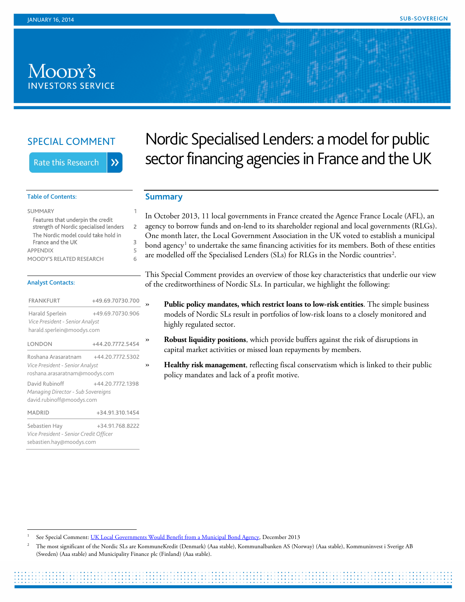# Moody's **INVESTORS SERVICE**

## SPECIAL COMMENT

**Rate this Research** 

# Nordic Specialised Lenders: a model for public sector financing agencies in France and the UK

 $\lambda$ 

| Features that underpin the credit<br>strength of Nordic specialised lenders | 2 |
|-----------------------------------------------------------------------------|---|
| The Nordic model could take hold in<br>France and the UK                    | з |
| <b>APPENDIX</b>                                                             | 5 |
| <b>MOODY'S RELATED RESEARCH</b>                                             |   |

#### Analyst Contacts:

Table of Contents:

| <b>FRANKFURT</b>                                                                         | +49.69.70730.700 |   |  |
|------------------------------------------------------------------------------------------|------------------|---|--|
| Harald Sperlein<br>Vice President - Senior Analyst<br>harald.sperlein@moodys.com         | +49.69.70730.906 |   |  |
| LONDON                                                                                   | +44.20.7772.5454 | ) |  |
| Roshana Arasaratnam<br>Vice President - Senior Analyst<br>roshana.arasaratnam@moodys.com | +44.20.7772.5302 | ) |  |
| David Rubinoff<br>Managing Director - Sub Sovereigns<br>david.rubinoff@moodys.com        | +44.20.7772.1398 |   |  |
| <b>MADRID</b>                                                                            | +34.91.310.1454  |   |  |
| Sebastien Hay<br>Vice President - Senior Credit Officer<br>sebastien.hay@moodys.com      | +34.91.768.8222  |   |  |

# <span id="page-0-0"></span>**Summary**

In October 2013, 11 local governments in France created the Agence France Locale (AFL), an agency to borrow funds and on-lend to its shareholder regional and local governments (RLGs). One month later, the Local Government Association in the UK voted to establish a municipal bond agency<sup>[1](#page-0-1)</sup> to undertake the same financing activities for its members. Both of these entities are modelled off the Specialised Lenders (SLs) for RLGs in the Nordic countries<sup>[2](#page-0-2)</sup>.

This Special Comment provides an overview of those key characteristics that underlie our view of the creditworthiness of Nordic SLs. In particular, we highlight the following:

- » **Public policy mandates, which restrict loans to low-risk entities**. The simple business models of Nordic SLs result in portfolios of low-risk loans to a closely monitored and highly regulated sector.
- » **Robust liquidity positions**, which provide buffers against the risk of disruptions in capital market activities or missed loan repayments by members.
- » **Healthy risk management**, reflecting fiscal conservatism which is linked to their public policy mandates and lack of a profit motive.

<span id="page-0-1"></span>See Special Comment[: UK Local Governments Would Benefit from a Municipal Bond Agency,](http://www.moodys.com/viewresearchdoc.aspx?docid=PBC_161041) December 2013

<span id="page-0-2"></span><sup>2</sup> The most significant of the Nordic SLs are KommuneKredit (Denmark) (Aaa stable), Kommunalbanken AS (Norway) (Aaa stable), Kommuninvest i Sverige AB (Sweden) (Aaa stable) and Municipality Finance plc (Finland) (Aaa stable).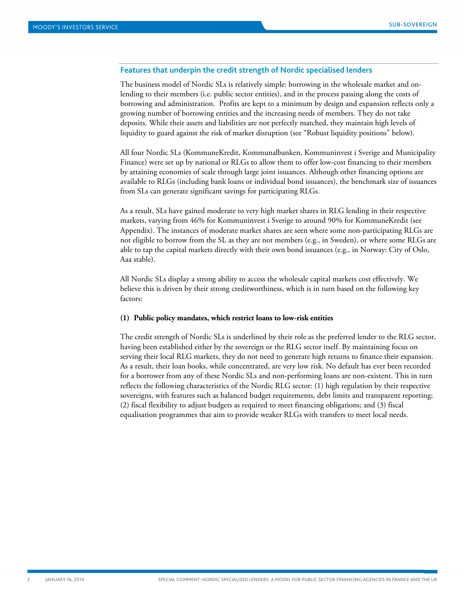#### <span id="page-1-0"></span>**Features that underpin the credit strength of Nordic specialised lenders**

The business model of Nordic SLs is relatively simple: borrowing in the wholesale market and onlending to their members (i.e. public sector entities), and in the process passing along the costs of borrowing and administration. Profits are kept to a minimum by design and expansion reflects only a growing number of borrowing entities and the increasing needs of members. They do not take deposits. While their assets and liabilities are not perfectly matched, they maintain high levels of liquidity to guard against the risk of market disruption (see "Robust liquidity positions" below).

All four Nordic SLs (KommuneKredit, Kommunalbanken, Kommuninvest i Sverige and Municipality Finance) were set up by national or RLGs to allow them to offer low-cost financing to their members by attaining economies of scale through large joint issuances. Although other financing options are available to RLGs (including bank loans or individual bond issuances), the benchmark size of issuances from SLs can generate significant savings for participating RLGs.

As a result, SLs have gained moderate to very high market shares in RLG lending in their respective markets, varying from 46% for Kommuninvest i Sverige to around 90% for KommuneKredit (see Appendix). The instances of moderate market shares are seen where some non-participating RLGs are not eligible to borrow from the SL as they are not members (e.g., in Sweden), or where some RLGs are able to tap the capital markets directly with their own bond issuances (e.g., in Norway: City of Oslo, Aaa stable).

All Nordic SLs display a strong ability to access the wholesale capital markets cost effectively. We believe this is driven by their strong creditworthiness, which is in turn based on the following key factors:

#### **(1) Public policy mandates, which restrict loans to low-risk entities**

The credit strength of Nordic SLs is underlined by their role as the preferred lender to the RLG sector, having been established either by the sovereign or the RLG sector itself. By maintaining focus on serving their local RLG markets, they do not need to generate high returns to finance their expansion. As a result, their loan books, while concentrated, are very low risk. No default has ever been recorded for a borrower from any of these Nordic SLs and non-performing loans are non-existent. This in turn reflects the following characteristics of the Nordic RLG sector: (1) high regulation by their respective sovereigns, with features such as balanced budget requirements, debt limits and transparent reporting; (2) fiscal flexibility to adjust budgets as required to meet financing obligations; and (3) fiscal equalisation programmes that aim to provide weaker RLGs with transfers to meet local needs.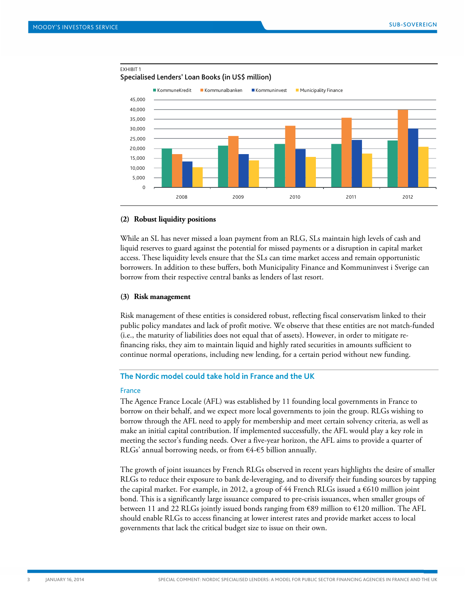EXHIBIT 1



#### Specialised Lenders' Loan Books (in US\$ million)

#### **(2) Robust liquidity positions**

While an SL has never missed a loan payment from an RLG, SLs maintain high levels of cash and liquid reserves to guard against the potential for missed payments or a disruption in capital market access. These liquidity levels ensure that the SLs can time market access and remain opportunistic borrowers. In addition to these buffers, both Municipality Finance and Kommuninvest i Sverige can borrow from their respective central banks as lenders of last resort.

#### **(3) Risk management**

Risk management of these entities is considered robust, reflecting fiscal conservatism linked to their public policy mandates and lack of profit motive. We observe that these entities are not match-funded (i.e., the maturity of liabilities does not equal that of assets). However, in order to mitigate refinancing risks, they aim to maintain liquid and highly rated securities in amounts sufficient to continue normal operations, including new lending, for a certain period without new funding.

#### <span id="page-2-0"></span>**The Nordic model could take hold in France and the UK**

#### France

The Agence France Locale (AFL) was established by 11 founding local governments in France to borrow on their behalf, and we expect more local governments to join the group. RLGs wishing to borrow through the AFL need to apply for membership and meet certain solvency criteria, as well as make an initial capital contribution. If implemented successfully, the AFL would play a key role in meeting the sector's funding needs. Over a five-year horizon, the AFL aims to provide a quarter of RLGs' annual borrowing needs, or from  $64-65$  billion annually.

The growth of joint issuances by French RLGs observed in recent years highlights the desire of smaller RLGs to reduce their exposure to bank de-leveraging, and to diversify their funding sources by tapping the capital market. For example, in 2012, a group of 44 French RLGs issued a  $\epsilon$ 610 million joint bond. This is a significantly large issuance compared to pre-crisis issuances, when smaller groups of between 11 and 22 RLGs jointly issued bonds ranging from €89 million to €120 million. The AFL should enable RLGs to access financing at lower interest rates and provide market access to local governments that lack the critical budget size to issue on their own.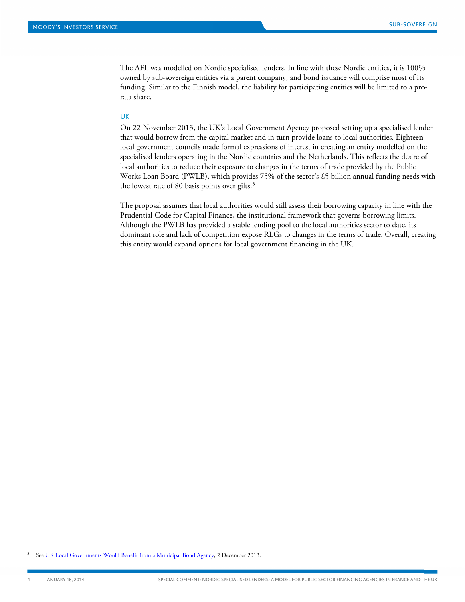The AFL was modelled on Nordic specialised lenders. In line with these Nordic entities, it is 100% owned by sub-sovereign entities via a parent company, and bond issuance will comprise most of its funding. Similar to the Finnish model, the liability for participating entities will be limited to a prorata share.

#### UK

On 22 November 2013, the UK's Local Government Agency proposed setting up a specialised lender that would borrow from the capital market and in turn provide loans to local authorities. Eighteen local government councils made formal expressions of interest in creating an entity modelled on the specialised lenders operating in the Nordic countries and the Netherlands. This reflects the desire of local authorities to reduce their exposure to changes in the terms of trade provided by the Public Works Loan Board (PWLB), which provides 75% of the sector's £5 billion annual funding needs with the lowest rate of 80 basis points over gilts. [3](#page-3-0)

The proposal assumes that local authorities would still assess their borrowing capacity in line with the Prudential Code for Capital Finance, the institutional framework that governs borrowing limits. Although the PWLB has provided a stable lending pool to the local authorities sector to date, its dominant role and lack of competition expose RLGs to changes in the terms of trade. Overall, creating this entity would expand options for local government financing in the UK.

<span id="page-3-0"></span>Se[e UK Local Governments Would Benefit from a Municipal Bond Agency,](http://www.moodys.com/viewresearchdoc.aspx?docid=PBC_161041) 2 December 2013.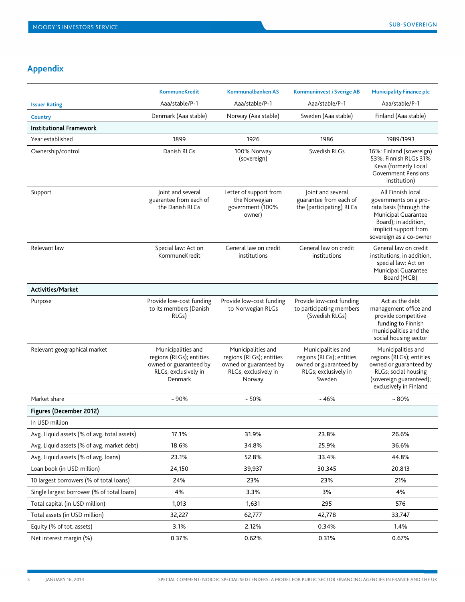# <span id="page-4-0"></span>**Appendix**

|                                             | <b>KommuneKredit</b>                                                                                        | Kommunalbanken AS                                                                                          | <b>Kommuninvest i Sverige AB</b>                                                                           | <b>Municipality Finance plc</b>                                                                                                                                          |
|---------------------------------------------|-------------------------------------------------------------------------------------------------------------|------------------------------------------------------------------------------------------------------------|------------------------------------------------------------------------------------------------------------|--------------------------------------------------------------------------------------------------------------------------------------------------------------------------|
| <b>Issuer Rating</b>                        | Aaa/stable/P-1                                                                                              | Aaa/stable/P-1                                                                                             | Aaa/stable/P-1                                                                                             | Aaa/stable/P-1                                                                                                                                                           |
| Country                                     | Denmark (Aaa stable)                                                                                        | Norway (Aaa stable)                                                                                        | Sweden (Aaa stable)                                                                                        | Finland (Aaa stable)                                                                                                                                                     |
| <b>Institutional Framework</b>              |                                                                                                             |                                                                                                            |                                                                                                            |                                                                                                                                                                          |
| Year established                            | 1899                                                                                                        | 1926                                                                                                       | 1986                                                                                                       | 1989/1993                                                                                                                                                                |
| Ownership/control                           | Danish RLGs                                                                                                 | 100% Norway<br>(sovereign)                                                                                 | Swedish RLGs                                                                                               | 16%: Finland (sovereign)<br>53%: Finnish RLGs 31%<br>Keva (formerly Local<br><b>Government Pensions</b><br>Institution)                                                  |
| Support                                     | Joint and several<br>guarantee from each of<br>the Danish RLGs                                              | Letter of support from<br>the Norwegian<br>government (100%<br>owner)                                      | Joint and several<br>guarantee from each of<br>the (participating) RLGs                                    | All Finnish local<br>governments on a pro-<br>rata basis (through the<br>Municipal Guarantee<br>Board); in addition,<br>implicit support from<br>sovereign as a co-owner |
| Relevant law                                | Special law: Act on<br>KommuneKredit                                                                        | General law on credit<br>institutions                                                                      | General law on credit<br>institutions                                                                      | General law on credit<br>institutions; in addition,<br>special law: Act on<br>Municipal Guarantee<br>Board (MGB)                                                         |
| Activities/Market                           |                                                                                                             |                                                                                                            |                                                                                                            |                                                                                                                                                                          |
| Purpose                                     | Provide low-cost funding<br>to its members (Danish<br>RLGs)                                                 | Provide low-cost funding<br>to Norwegian RLGs                                                              | Provide low-cost funding<br>to participating members<br>(Swedish RLGs)                                     | Act as the debt<br>management office and<br>provide competitive<br>funding to Finnish<br>municipalities and the<br>social housing sector                                 |
| Relevant geographical market                | Municipalities and<br>regions (RLGs); entities<br>owned or guaranteed by<br>RLGs; exclusively in<br>Denmark | Municipalities and<br>regions (RLGs); entities<br>owned or guaranteed by<br>RLGs; exclusively in<br>Norway | Municipalities and<br>regions (RLGs); entities<br>owned or guaranteed by<br>RLGs; exclusively in<br>Sweden | Municipalities and<br>regions (RLGs); entities<br>owned or guaranteed by<br>RLGs; social housing<br>(sovereign guaranteed);<br>exclusively in Finland                    |
| Market share                                | $~10\%$                                                                                                     | $~50\%$                                                                                                    | $~16\%$                                                                                                    | $~1.80\%$                                                                                                                                                                |
| Figures (December 2012)                     |                                                                                                             |                                                                                                            |                                                                                                            |                                                                                                                                                                          |
| In USD million                              |                                                                                                             |                                                                                                            |                                                                                                            |                                                                                                                                                                          |
| Avg. Liquid assets (% of avg. total assets) | 17.1%                                                                                                       | 31.9%                                                                                                      | 23.8%                                                                                                      | 26.6%                                                                                                                                                                    |
| Avg. Liquid assets (% of avg. market debt)  | 18.6%                                                                                                       | 34.8%                                                                                                      | 25.9%                                                                                                      | 36.6%                                                                                                                                                                    |
| Avg. Liquid assets (% of avg. loans)        | 23.1%                                                                                                       | 52.8%                                                                                                      | 33.4%                                                                                                      | 44.8%                                                                                                                                                                    |
| Loan book (in USD million)                  | 24,150                                                                                                      | 39,937                                                                                                     | 30,345                                                                                                     | 20,813                                                                                                                                                                   |
| 10 largest borrowers (% of total loans)     | 24%                                                                                                         | 23%                                                                                                        | 23%                                                                                                        | 21%                                                                                                                                                                      |
| Single largest borrower (% of total loans)  | 4%                                                                                                          | 3.3%                                                                                                       | 3%                                                                                                         | 4%                                                                                                                                                                       |
| Total capital (in USD million)              | 1,013                                                                                                       | 1,631                                                                                                      | 295                                                                                                        | 576                                                                                                                                                                      |
| Total assets (in USD million)               | 32,227                                                                                                      | 62,777                                                                                                     | 42,778                                                                                                     | 33,747                                                                                                                                                                   |
| Equity (% of tot. assets)                   | 3.1%                                                                                                        | 2.12%                                                                                                      | 0.34%                                                                                                      | 1.4%                                                                                                                                                                     |
| Net interest margin (%)                     | 0.37%                                                                                                       | 0.62%                                                                                                      | 0.31%                                                                                                      | 0.67%                                                                                                                                                                    |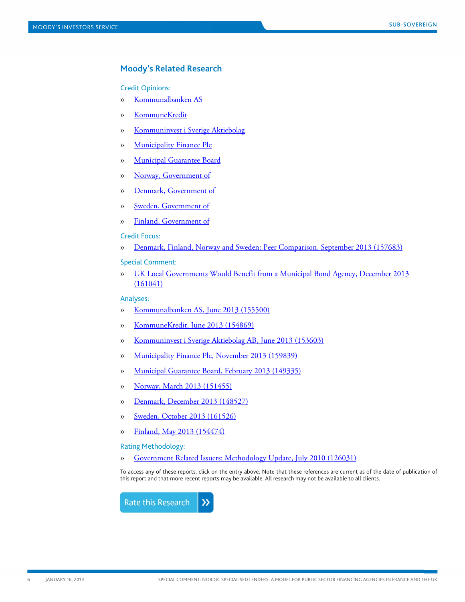### <span id="page-5-0"></span>**Moody's Related Research**

#### Credit Opinions:

- » [Kommunalbanken AS](https://www.moodys.com/research/Kommunalbanken-AS-Credit-Opinion--COP_600051647)
- » [KommuneKredit](https://www.moodys.com/research/KommuneKredit-Credit-Opinion--COP_700300)
- » [Kommuninvest i Sverige Aktiebolag](https://www.moodys.com/research/Kommuninvest-i-Sverige-Aktiebolag-Credit-Opinion--COP_16010)
- » [Municipality Finance Plc](https://www.moodys.com/research/Municipality-Finance-Plc-Credit-Opinion--COP_600059335)
- » [Municipal Guarantee Board](https://www.moodys.com/research/Municipal-Guarantee-Board-Credit-Opinion--COP_600021936)
- » [Norway, Government of](https://www.moodys.com/research/Norway-Government-of-Credit-Opinion--COP_565700)
- » [Denmark, Government of](https://www.moodys.com/research/Denmark-Government-of-Credit-Opinion--COP_230700)
- » [Sweden, Government of](https://www.moodys.com/research/Sweden-Government-of-Credit-Opinion--COP_730900)
- » Finland, [Government](https://www.moodys.com/research/Finland-Government-of-Credit-Opinion--COP_278070) of

#### Credit Focus:

» [Denmark, Finland, Norway and Sweden: Peer Comparison, September 2013 \(157683\)](http://www.moodys.com/viewresearchdoc.aspx?docid=PBC_157683)

Special Comment:

» [UK Local Governments Would Benefit from a Municipal Bond Agency, December 2013](http://www.moodys.com/viewresearchdoc.aspx?docid=PBC_161041)  [\(161041\)](http://www.moodys.com/viewresearchdoc.aspx?docid=PBC_161041)

#### Analyses:

- » [Kommunalbanken AS, June 2013 \(155500\)](http://www.moodys.com/viewresearchdoc.aspx?docid=PBC_155500)
- » [KommuneKredit, June 2013 \(154869\)](http://www.moodys.com/viewresearchdoc.aspx?docid=PBC_154869)
- » Kommuninvest [i Sverige Aktiebolag AB, June 2013 \(153603\)](http://www.moodys.com/viewresearchdoc.aspx?docid=PBC_153603)
- » [Municipality Finance Plc, November 2013 \(159839\)](http://www.moodys.com/viewresearchdoc.aspx?docid=PBC_159839)
- » [Municipal Guarantee Board, February 2013 \(149335\)](http://www.moodys.com/viewresearchdoc.aspx?docid=PBC_149335)
- » [Norway, March 2013 \(151455\)](http://www.moodys.com/viewresearchdoc.aspx?docid=PBC_151455)
- » [Denmark, December 2013 \(148527\)](http://www.moodys.com/viewresearchdoc.aspx?docid=PBC_148527)
- » [Sweden, October 2013 \(161526\)](http://www.moodys.com/viewresearchdoc.aspx?docid=PBC_161526)
- » [Finland, May 2013 \(154474\)](http://www.moodys.com/viewresearchdoc.aspx?docid=PBC_154474)

Rating Methodology:

» [Government Related Issuers: Methodology Update, July 2010 \(126031\)](http://www.moodys.com/viewresearchdoc.aspx?docid=PBC_126031)

To access any of these reports, click on the entry above. Note that these references are current as of the date of publication of this report and that more recent reports may be available. All research may not be available to all clients.